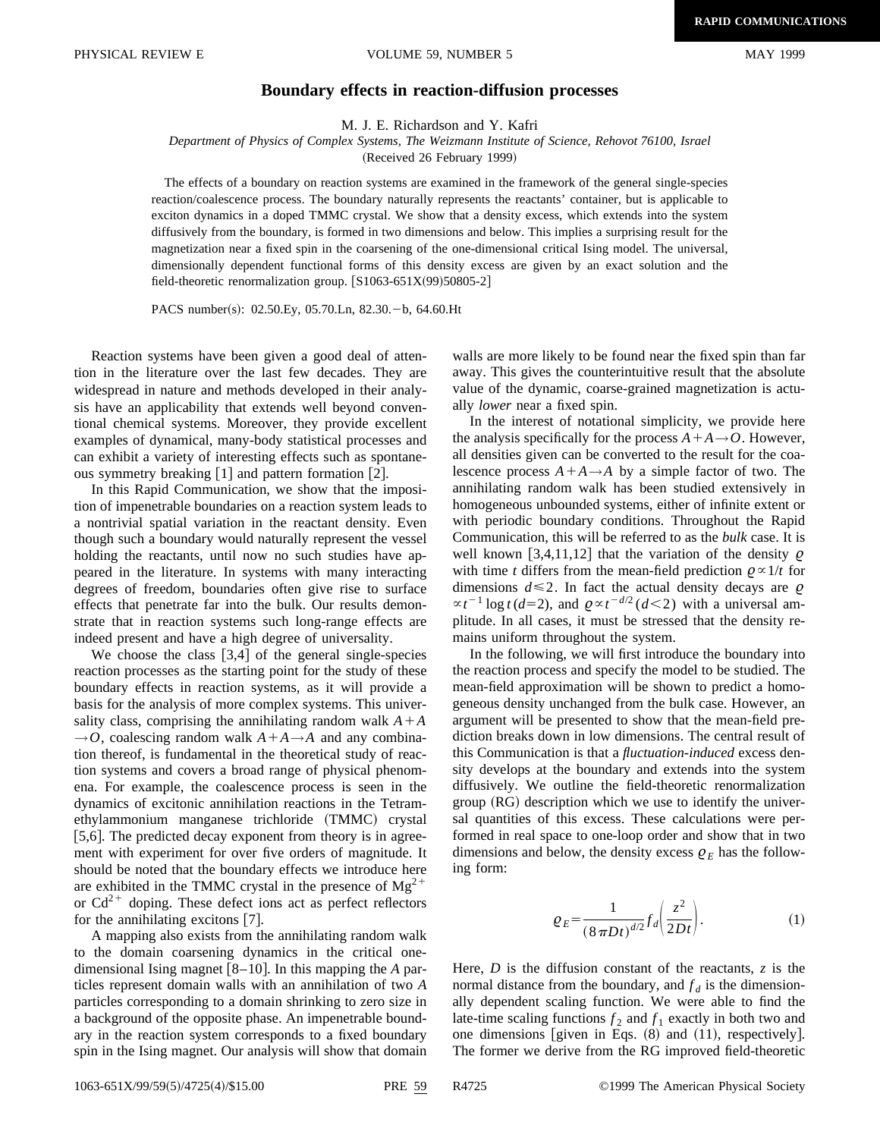## **Boundary effects in reaction-diffusion processes**

M. J. E. Richardson and Y. Kafri

*Department of Physics of Complex Systems, The Weizmann Institute of Science, Rehovot 76100, Israel*

(Received 26 February 1999)

The effects of a boundary on reaction systems are examined in the framework of the general single-species reaction/coalescence process. The boundary naturally represents the reactants' container, but is applicable to exciton dynamics in a doped TMMC crystal. We show that a density excess, which extends into the system diffusively from the boundary, is formed in two dimensions and below. This implies a surprising result for the magnetization near a fixed spin in the coarsening of the one-dimensional critical Ising model. The universal, dimensionally dependent functional forms of this density excess are given by an exact solution and the field-theoretic renormalization group.  $[S1063-651X(99)50805-2]$ 

PACS number(s): 02.50.Ey, 05.70.Ln, 82.30.-b, 64.60.Ht

Reaction systems have been given a good deal of attention in the literature over the last few decades. They are widespread in nature and methods developed in their analysis have an applicability that extends well beyond conventional chemical systems. Moreover, they provide excellent examples of dynamical, many-body statistical processes and can exhibit a variety of interesting effects such as spontaneous symmetry breaking  $\lceil 1 \rceil$  and pattern formation  $\lceil 2 \rceil$ .

In this Rapid Communication, we show that the imposition of impenetrable boundaries on a reaction system leads to a nontrivial spatial variation in the reactant density. Even though such a boundary would naturally represent the vessel holding the reactants, until now no such studies have appeared in the literature. In systems with many interacting degrees of freedom, boundaries often give rise to surface effects that penetrate far into the bulk. Our results demonstrate that in reaction systems such long-range effects are indeed present and have a high degree of universality.

We choose the class  $[3,4]$  of the general single-species reaction processes as the starting point for the study of these boundary effects in reaction systems, as it will provide a basis for the analysis of more complex systems. This universality class, comprising the annihilating random walk  $A+A$  $\rightarrow$ *O*, coalescing random walk  $A+A\rightarrow A$  and any combination thereof, is fundamental in the theoretical study of reaction systems and covers a broad range of physical phenomena. For example, the coalescence process is seen in the dynamics of excitonic annihilation reactions in the Tetramethylammonium manganese trichloride (TMMC) crystal [5,6]. The predicted decay exponent from theory is in agreement with experiment for over five orders of magnitude. It should be noted that the boundary effects we introduce here are exhibited in the TMMC crystal in the presence of  $Mg^{2+}$ or  $Cd^{2+}$  doping. These defect ions act as perfect reflectors for the annihilating excitons  $[7]$ .

A mapping also exists from the annihilating random walk to the domain coarsening dynamics in the critical onedimensional Ising magnet  $[8-10]$ . In this mapping the *A* particles represent domain walls with an annihilation of two *A* particles corresponding to a domain shrinking to zero size in a background of the opposite phase. An impenetrable boundary in the reaction system corresponds to a fixed boundary spin in the Ising magnet. Our analysis will show that domain walls are more likely to be found near the fixed spin than far away. This gives the counterintuitive result that the absolute value of the dynamic, coarse-grained magnetization is actually *lower* near a fixed spin.

In the interest of notational simplicity, we provide here the analysis specifically for the process  $A+A\rightarrow O$ . However, all densities given can be converted to the result for the coalescence process  $A + A \rightarrow A$  by a simple factor of two. The annihilating random walk has been studied extensively in homogeneous unbounded systems, either of infinite extent or with periodic boundary conditions. Throughout the Rapid Communication, this will be referred to as the *bulk* case. It is well known [3,4,11,12] that the variation of the density  $\rho$ with time *t* differs from the mean-field prediction  $\rho \propto 1/t$  for dimensions  $d \le 2$ . In fact the actual density decays are  $\rho$  $\propto t^{-1}$  log *t*(*d*=2), and  $\varrho \propto t^{-d/2}$  (*d*<2) with a universal amplitude. In all cases, it must be stressed that the density remains uniform throughout the system.

In the following, we will first introduce the boundary into the reaction process and specify the model to be studied. The mean-field approximation will be shown to predict a homogeneous density unchanged from the bulk case. However, an argument will be presented to show that the mean-field prediction breaks down in low dimensions. The central result of this Communication is that a *fluctuation-induced* excess density develops at the boundary and extends into the system diffusively. We outline the field-theoretic renormalization group  $(RG)$  description which we use to identify the universal quantities of this excess. These calculations were performed in real space to one-loop order and show that in two dimensions and below, the density excess  $\varrho_E$  has the following form:

$$
\mathcal{Q}_E = \frac{1}{(8\pi Dt)^{d/2}} f_d \left(\frac{z^2}{2Dt}\right). \tag{1}
$$

Here,  $D$  is the diffusion constant of the reactants,  $\zeta$  is the normal distance from the boundary, and  $f_d$  is the dimensionally dependent scaling function. We were able to find the late-time scaling functions  $f_2$  and  $f_1$  exactly in both two and one dimensions [given in Eqs.  $(8)$  and  $(11)$ , respectively]. The former we derive from the RG improved field-theoretic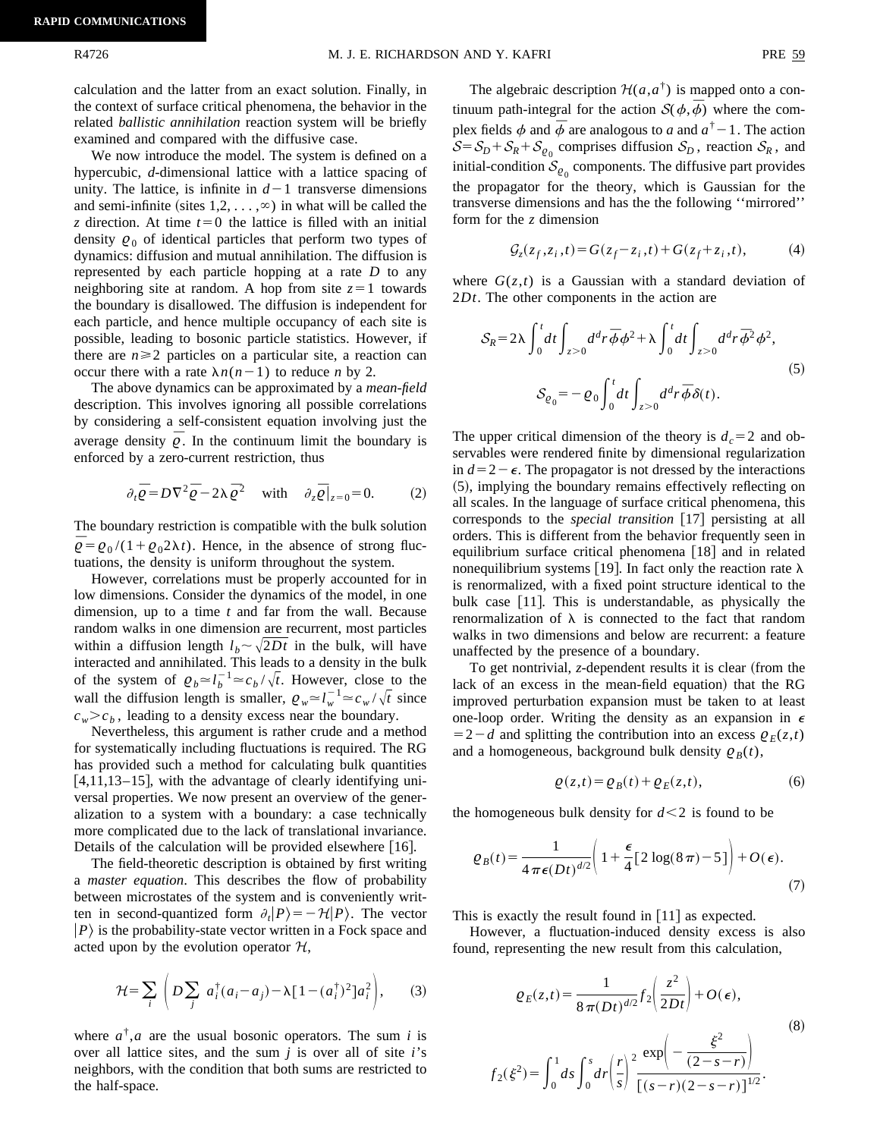calculation and the latter from an exact solution. Finally, in the context of surface critical phenomena, the behavior in the related *ballistic annihilation* reaction system will be briefly examined and compared with the diffusive case.

We now introduce the model. The system is defined on a hypercubic, *d*-dimensional lattice with a lattice spacing of unity. The lattice, is infinite in  $d-1$  transverse dimensions and semi-infinite (sites  $1,2,\ldots,\infty$ ) in what will be called the *z* direction. At time  $t=0$  the lattice is filled with an initial density  $\varrho_0$  of identical particles that perform two types of dynamics: diffusion and mutual annihilation. The diffusion is represented by each particle hopping at a rate *D* to any neighboring site at random. A hop from site  $z=1$  towards the boundary is disallowed. The diffusion is independent for each particle, and hence multiple occupancy of each site is possible, leading to bosonic particle statistics. However, if there are  $n \geq 2$  particles on a particular site, a reaction can occur there with a rate  $\lambda n(n-1)$  to reduce *n* by 2.

The above dynamics can be approximated by a *mean-field* description. This involves ignoring all possible correlations by considering a self-consistent equation involving just the average density  $\overline{\varrho}$ . In the continuum limit the boundary is enforced by a zero-current restriction, thus

$$
\partial_t \overline{\rho} = D \nabla^2 \overline{\rho} - 2\lambda \overline{\rho}^2 \quad \text{with} \quad \partial_z \overline{\rho}|_{z=0} = 0. \tag{2}
$$

The boundary restriction is compatible with the bulk solution  $\overline{\varrho} = \varrho_0/(1+\varrho_0 2\lambda t)$ . Hence, in the absence of strong fluctuations, the density is uniform throughout the system.

However, correlations must be properly accounted for in low dimensions. Consider the dynamics of the model, in one dimension, up to a time *t* and far from the wall. Because random walks in one dimension are recurrent, most particles within a diffusion length  $l_b \sim \sqrt{2Dt}$  in the bulk, will have interacted and annihilated. This leads to a density in the bulk of the system of  $Q_b \approx l_b^{-1} \approx c_b / \sqrt{t}$ . However, close to the wall the diffusion length is smaller,  $Q_w \approx l_w^{-1} \approx c_w / \sqrt{t}$  since  $c_w > c_h$ , leading to a density excess near the boundary.

Nevertheless, this argument is rather crude and a method for systematically including fluctuations is required. The RG has provided such a method for calculating bulk quantities  $[4,11,13-15]$ , with the advantage of clearly identifying universal properties. We now present an overview of the generalization to a system with a boundary: a case technically more complicated due to the lack of translational invariance. Details of the calculation will be provided elsewhere  $[16]$ .

The field-theoretic description is obtained by first writing a *master equation*. This describes the flow of probability between microstates of the system and is conveniently written in second-quantized form  $\partial_t |P\rangle = -\mathcal{H}|P\rangle$ . The vector  $|P\rangle$  is the probability-state vector written in a Fock space and acted upon by the evolution operator *H*,

$$
\mathcal{H} = \sum_{i} \left( D \sum_{j} a_i^{\dagger} (a_i - a_j) - \lambda [1 - (a_i^{\dagger})^2] a_i^2 \right), \tag{3}
$$

where  $a^{\dagger}$ , *a* are the usual bosonic operators. The sum *i* is over all lattice sites, and the sum *j* is over all of site *i*'s neighbors, with the condition that both sums are restricted to the half-space.

The algebraic description  $H(a, a^{\dagger})$  is mapped onto a continuum path-integral for the action  $S(\phi,\bar{\phi})$  where the complex fields  $\phi$  and  $\overline{\phi}$  are analogous to *a* and  $a^{\dagger}-1$ . The action  $S = S_D + S_R + S_{\varrho_0}$  comprises diffusion  $S_D$ , reaction  $S_R$ , and initial-condition  $S_{\varrho_{0}}$  components. The diffusive part provides the propagator for the theory, which is Gaussian for the transverse dimensions and has the the following ''mirrored'' form for the *z* dimension

$$
\mathcal{G}_z(z_f, z_i, t) = G(z_f - z_i, t) + G(z_f + z_i, t),\tag{4}
$$

where  $G(z,t)$  is a Gaussian with a standard deviation of 2*Dt*. The other components in the action are

$$
S_R = 2\lambda \int_0^t dt \int_{z>0} d^d r \overline{\phi} \phi^2 + \lambda \int_0^t dt \int_{z>0} d^d r \overline{\phi}^2 \phi^2,
$$
  

$$
S_{\varrho_0} = -\varrho_0 \int_0^t dt \int_{z>0} d^d r \overline{\phi} \delta(t).
$$
 (5)

The upper critical dimension of the theory is  $d_c=2$  and observables were rendered finite by dimensional regularization in  $d=2-\epsilon$ . The propagator is not dressed by the interactions  $(5)$ , implying the boundary remains effectively reflecting on all scales. In the language of surface critical phenomena, this corresponds to the *special transition* [17] persisting at all orders. This is different from the behavior frequently seen in equilibrium surface critical phenomena  $[18]$  and in related nonequilibrium systems [19]. In fact only the reaction rate  $\lambda$ is renormalized, with a fixed point structure identical to the bulk case  $[11]$ . This is understandable, as physically the renormalization of  $\lambda$  is connected to the fact that random walks in two dimensions and below are recurrent: a feature unaffected by the presence of a boundary.

To get nontrivial, *z*-dependent results it is clear (from the lack of an excess in the mean-field equation) that the RG improved perturbation expansion must be taken to at least one-loop order. Writing the density as an expansion in  $\epsilon$  $=2-d$  and splitting the contribution into an excess  $\varrho_E(z,t)$ and a homogeneous, background bulk density  $\rho_B(t)$ ,

$$
\varrho(z,t) = \varrho_B(t) + \varrho_E(z,t),\tag{6}
$$

the homogeneous bulk density for  $d < 2$  is found to be

$$
\varrho_B(t) = \frac{1}{4\pi\epsilon(Dt)^{d/2}} \left( 1 + \frac{\epsilon}{4} \left[ 2\log(8\pi) - 5 \right] \right) + O(\epsilon).
$$
\n(7)

This is exactly the result found in  $[11]$  as expected.

However, a fluctuation-induced density excess is also found, representing the new result from this calculation,

$$
\varrho_E(z,t) = \frac{1}{8\,\pi(Dt)^{d/2}} f_2\left(\frac{z^2}{2Dt}\right) + O(\epsilon),
$$
\n
$$
f_2(\xi^2) = \int_0^1 ds \int_0^s dr \left(\frac{r}{s}\right)^2 \frac{\exp\left(-\frac{\xi^2}{(2-s-r)}\right)}{\left[(s-r)(2-s-r)\right]^{1/2}}.
$$
\n(8)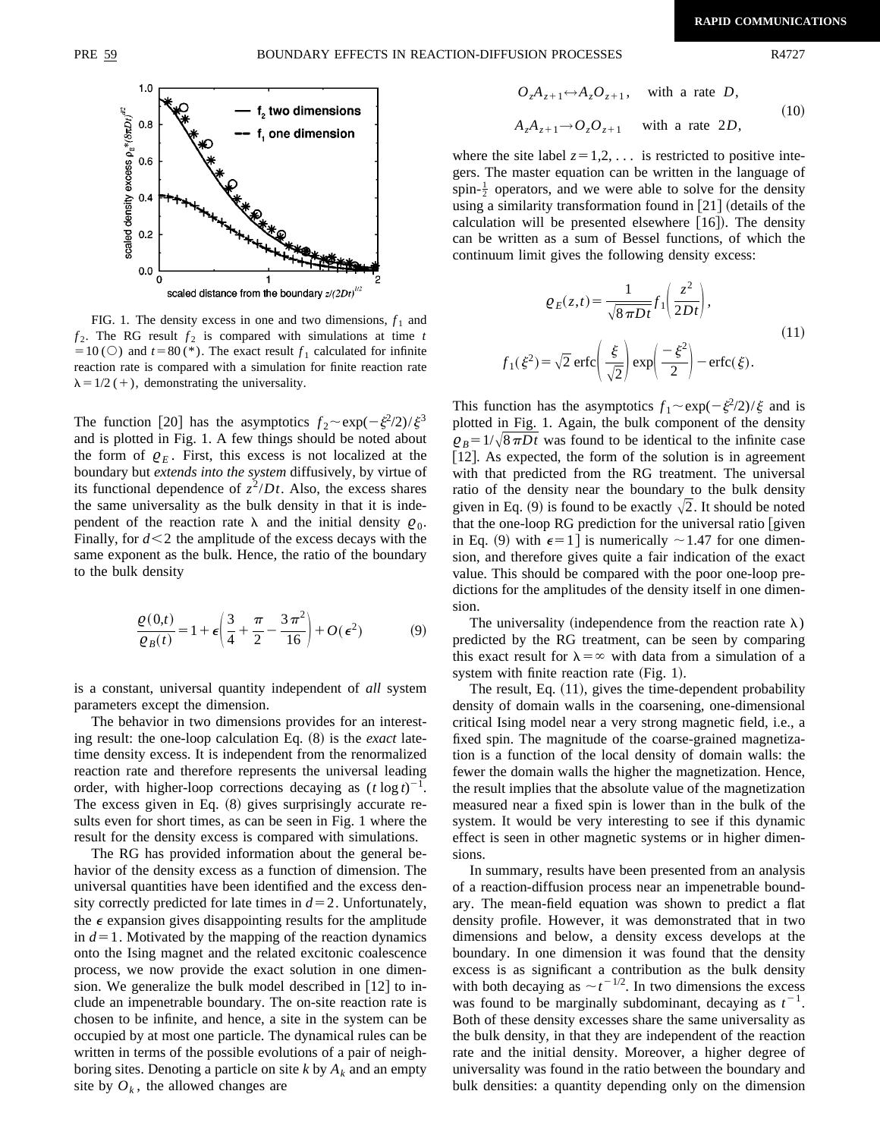

FIG. 1. The density excess in one and two dimensions,  $f_1$  and  $f_2$ . The RG result  $f_2$  is compared with simulations at time *t*  $=10$  (O) and  $t=80$  (\*). The exact result  $f_1$  calculated for infinite reaction rate is compared with a simulation for finite reaction rate  $\lambda = 1/2$  (+), demonstrating the universality.

The function [20] has the asymptotics  $f_2 \sim \exp(-\xi^2/2)/\xi^3$ and is plotted in Fig. 1. A few things should be noted about the form of  $\varrho_E$ . First, this excess is not localized at the boundary but *extends into the system* diffusively, by virtue of its functional dependence of  $z^2/Dt$ . Also, the excess shares the same universality as the bulk density in that it is independent of the reaction rate  $\lambda$  and the initial density  $\varrho_0$ . Finally, for  $d < 2$  the amplitude of the excess decays with the same exponent as the bulk. Hence, the ratio of the boundary to the bulk density

$$
\frac{\varrho(0,t)}{\varrho_B(t)} = 1 + \epsilon \left( \frac{3}{4} + \frac{\pi}{2} - \frac{3\pi^2}{16} \right) + O(\epsilon^2)
$$
 (9)

is a constant, universal quantity independent of *all* system parameters except the dimension.

The behavior in two dimensions provides for an interesting result: the one-loop calculation Eq.  $(8)$  is the *exact* latetime density excess. It is independent from the renormalized reaction rate and therefore represents the universal leading order, with higher-loop corrections decaying as  $(t \log t)^{-1}$ . The excess given in Eq.  $(8)$  gives surprisingly accurate results even for short times, as can be seen in Fig. 1 where the result for the density excess is compared with simulations.

The RG has provided information about the general behavior of the density excess as a function of dimension. The universal quantities have been identified and the excess density correctly predicted for late times in  $d=2$ . Unfortunately, the  $\epsilon$  expansion gives disappointing results for the amplitude in  $d=1$ . Motivated by the mapping of the reaction dynamics onto the Ising magnet and the related excitonic coalescence process, we now provide the exact solution in one dimension. We generalize the bulk model described in  $[12]$  to include an impenetrable boundary. The on-site reaction rate is chosen to be infinite, and hence, a site in the system can be occupied by at most one particle. The dynamical rules can be written in terms of the possible evolutions of a pair of neighboring sites. Denoting a particle on site  $k$  by  $A_k$  and an empty site by  $O_k$ , the allowed changes are

$$
O_z A_{z+1} \leftrightarrow A_z O_{z+1}, \text{ with a rate } D,
$$
  

$$
A_z A_{z+1} \to O_z O_{z+1} \text{ with a rate } 2D,
$$
 (10)

where the site label  $z=1,2,...$  is restricted to positive integers. The master equation can be written in the language of spin- $\frac{1}{2}$  operators, and we were able to solve for the density using a similarity transformation found in  $[21]$  (details of the calculation will be presented elsewhere  $(16)$ . The density can be written as a sum of Bessel functions, of which the continuum limit gives the following density excess:

$$
Q_E(z,t) = \frac{1}{\sqrt{8\pi Dt}} f_1\left(\frac{z^2}{2Dt}\right),
$$
  

$$
f_1(\xi^2) = \sqrt{2} \operatorname{erfc}\left(\frac{\xi}{\sqrt{2}}\right) \exp\left(\frac{-\xi^2}{2}\right) - \operatorname{erfc}(\xi).
$$
 (11)

This function has the asymptotics  $f_1 \sim \exp(-\xi^2/2)/\xi$  and is plotted in Fig. 1. Again, the bulk component of the density  $\rho_B = 1/\sqrt{8\pi Dt}$  was found to be identical to the infinite case [12]. As expected, the form of the solution is in agreement with that predicted from the RG treatment. The universal ratio of the density near the boundary to the bulk density given in Eq. (9) is found to be exactly  $\sqrt{2}$ . It should be noted that the one-loop RG prediction for the universal ratio [given in Eq. (9) with  $\epsilon=1$  is numerically  $\sim$  1.47 for one dimension, and therefore gives quite a fair indication of the exact value. This should be compared with the poor one-loop predictions for the amplitudes of the density itself in one dimension.

The universality (independence from the reaction rate  $\lambda$ ) predicted by the RG treatment, can be seen by comparing this exact result for  $\lambda = \infty$  with data from a simulation of a system with finite reaction rate  $(Fig. 1)$ .

The result, Eq.  $(11)$ , gives the time-dependent probability density of domain walls in the coarsening, one-dimensional critical Ising model near a very strong magnetic field, i.e., a fixed spin. The magnitude of the coarse-grained magnetization is a function of the local density of domain walls: the fewer the domain walls the higher the magnetization. Hence, the result implies that the absolute value of the magnetization measured near a fixed spin is lower than in the bulk of the system. It would be very interesting to see if this dynamic effect is seen in other magnetic systems or in higher dimensions.

In summary, results have been presented from an analysis of a reaction-diffusion process near an impenetrable boundary. The mean-field equation was shown to predict a flat density profile. However, it was demonstrated that in two dimensions and below, a density excess develops at the boundary. In one dimension it was found that the density excess is as significant a contribution as the bulk density with both decaying as  $\sim t^{-1/2}$ . In two dimensions the excess was found to be marginally subdominant, decaying as  $t^{-1}$ . Both of these density excesses share the same universality as the bulk density, in that they are independent of the reaction rate and the initial density. Moreover, a higher degree of universality was found in the ratio between the boundary and bulk densities: a quantity depending only on the dimension